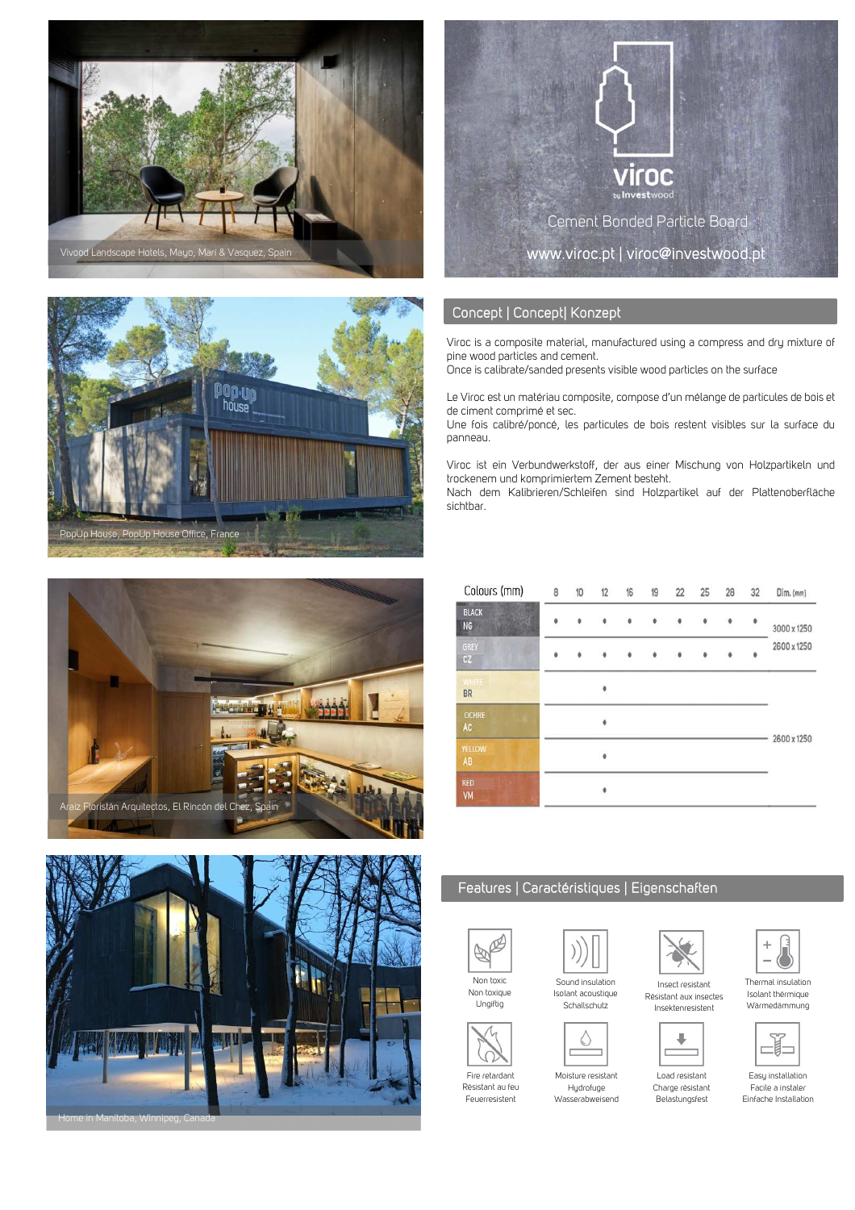









## Concept | Concept| Konzept

Viroc is a composite material, manufactured using a compress and dry mixture of pine wood particles and cement.

Once is calibrate/sanded presents visible wood particles on the surface

Le Viroc est un matériau composite, compose d'un mélange de particules de bois et de ciment comprimé et sec.

Une fois calibré/poncé, les particules de bois restent visibles sur la surface du panneau.

Viroc ist ein Verbundwerkstoff, der aus einer Mischung von Holzpartikeln und trockenem und komprimiertem Zement besteht.

Nach dem Kalibrieren/Schleifen sind Holzpartikel auf der Plattenoberfläche sichtbar.

| Colours (mm)              | 8                        | 10 | 12 | 16 | 19 | 22        | 25 | 28 | 32        | Dim. (mm)                  |
|---------------------------|--------------------------|----|----|----|----|-----------|----|----|-----------|----------------------------|
| <b>BLACK</b><br><b>NG</b> | ۰                        | ۰  |    | ۰  |    | $\bullet$ | ۰  | ۰  | $\bullet$ | 3000 x 1250<br>2600 x 1250 |
| GREY<br>CZ                | ۰                        |    | ø  | Ó  | ۰  | 0         | ۰  |    |           |                            |
| <b>WHITE</b><br><b>BR</b> | $\bullet$<br>۰<br>ö<br>۰ |    |    |    |    |           |    |    |           | 2600 x 1250                |
| <b>OCHRE</b><br>AC        |                          |    |    |    |    |           |    |    |           |                            |
| YELLOW<br>AB              |                          |    |    |    |    |           |    |    |           |                            |
| <b>RED</b><br>VM          |                          |    |    |    |    |           |    |    |           |                            |

## Features | Caractéristiques | Eigenschaften



Non toxique Ungiftig

Fire retardant Résistant au feu Feuerresistent

Sound insulation Isolant acoustique Schallschutz



Moisture resistant Hudrofuge Wasserabweisend



Thermal insulation Isolant thérmique Wärmedämmung

Insect resistant Résistant aux insectes Insektenresistent



Easy installation Facile a instaler

Charge résistant

Belastungsfest

в

Load resistant

Einfache Installation